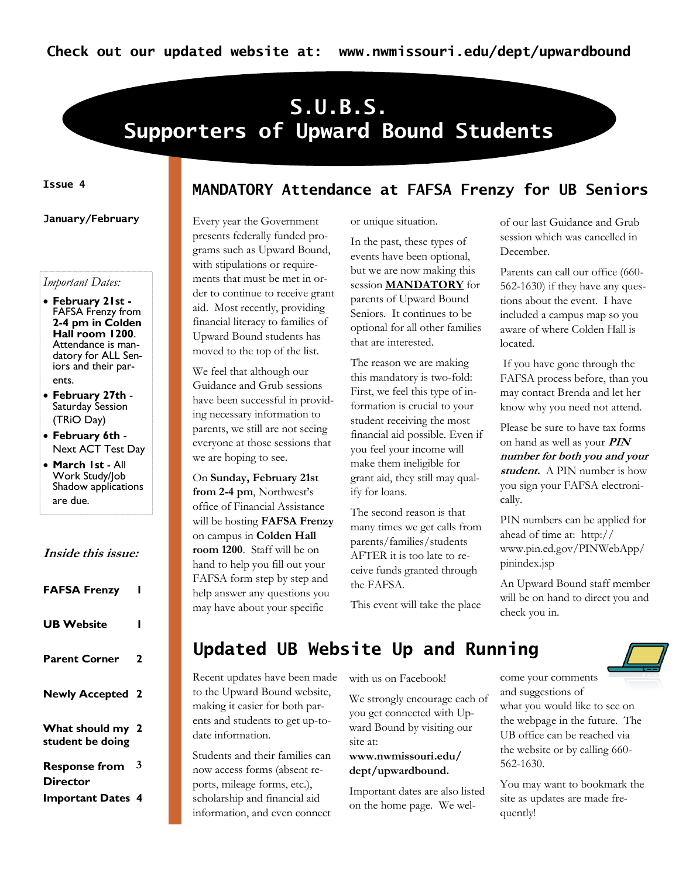# **S.U.B.S. Supporters of Upward Bound Students**

### **Issue 4**

**January/February**

### *Important Dates:*

- **February 21st -** FAFSA Frenzy from **2-4 pm in Colden Hall room 1200**. Attendance is mandatory for ALL Seniors and their parents.
- **February 27th**  Saturday Session (TRiO Day)
- **February 6th**  Next ACT Test Day
- **March 1st**  All Work Study/Job Shadow applications are due.

### **Inside this issue:**

| <b>FAFSA Frenzy</b>                  |   |
|--------------------------------------|---|
| <b>UB Website</b>                    |   |
| <b>Parent Corner</b>                 | 2 |
| <b>Newly Accepted</b>                | 2 |
| What should my 2<br>student be doing |   |
| <b>Response from</b><br>Director     | 3 |
| <b>Important Dates 4</b>             |   |

### **MANDATORY Attendance at FAFSA Frenzy for UB Seniors**

Every year the Government presents federally funded programs such as Upward Bound, with stipulations or requirements that must be met in order to continue to receive grant aid. Most recently, providing financial literacy to families of Upward Bound students has moved to the top of the list.

We feel that although our Guidance and Grub sessions have been successful in providing necessary information to parents, we still are not seeing everyone at those sessions that we are hoping to see.

On **Sunday, February 21st**  from 2-4 pm, Northwest's office of Financial Assistance will be hosting **FAFSA Frenzy** on campus in **Colden Hall room 1200**. Staff will be on hand to help you fill out your FAFSA form step by step and help answer any questions you may have about your specific

or unique situation.

In the past, these types of events have been optional, but we are now making this session **MANDATORY** for parents of Upward Bound Seniors. It continues to be optional for all other families that are interested.

The reason we are making this mandatory is two-fold: First, we feel this type of information is crucial to your student receiving the most financial aid possible. Even if you feel your income will make them ineligible for grant aid, they still may qualify for loans.

The second reason is that many times we get calls from parents/families/students AFTER it is too late to receive funds granted through the FAFSA.

This event will take the place

of our last Guidance and Grub session which was cancelled in December.

Parents can call our office (660- 562-1630) if they have any questions about the event. I have included a campus map so you aware of where Colden Hall is located.

If you have gone through the FAFSA process before, than you may contact Brenda and let her know why you need not attend.

Please be sure to have tax forms on hand as well as your **PIN number for both you and your student.** A PIN number is how you sign your FAFSA electronically.

PIN numbers can be applied for ahead of time at: http:// www.pin.ed.gov/PINWebApp/ pinindex.jsp

An Upward Bound staff member will be on hand to direct you and check you in.

# **Updated UB Website Up and Running**

Recent updates have been made to the Upward Bound website, making it easier for both parents and students to get up-todate information.

Students and their families can now access forms (absent reports, mileage forms, etc.), scholarship and financial aid information, and even connect

with us on Facebook!

We strongly encourage each of you get connected with Upward Bound by visiting our site at:

### **www.nwmissouri.edu/ dept/upwardbound.**

Important dates are also listed on the home page. We welcome your comments and suggestions of what you would like to see on the webpage in the future. The UB office can be reached via the website or by calling 660- 562-1630.

You may want to bookmark the site as updates are made frequently!

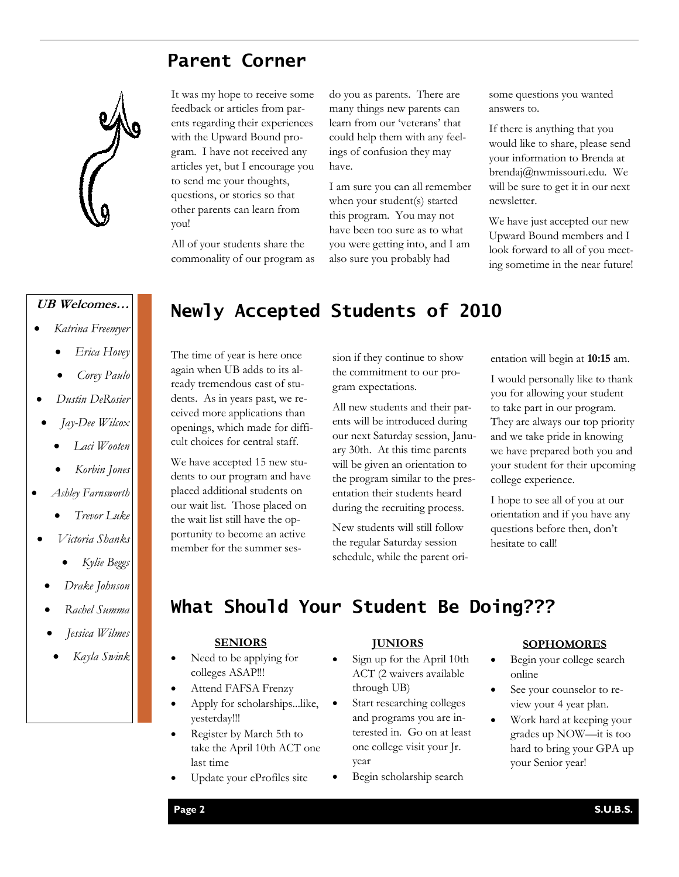## **Parent Corner**

It was my hope to receive some feedback or articles from parents regarding their experiences with the Upward Bound program. I have not received any articles yet, but I encourage you to send me your thoughts, questions, or stories so that other parents can learn from

All of your students share the commonality of our program as



you!

- *Katrina Freemyer*
	- *Erica Hovey*
	- *Corey Paulo*
- *Dustin DeRosier*
- *Jay-Dee Wilcox*
	- *Laci Wooten*
	- *Korbin Jones*
- *Ashley Farnsworth*
	- *Trevor Luke*
- *Victoria Shanks*
	- *Kylie Beggs*
	- *Drake Johnson*
	- *Rachel Summa*
	- *Jessica Wilmes*
		- *Kayla Swink*

# **Newly Accepted Students of 2010 UB Welcomes…**

have.

The time of year is here once again when UB adds to its already tremendous cast of students. As in years past, we received more applications than openings, which made for difficult choices for central staff.

We have accepted 15 new students to our program and have placed additional students on our wait list. Those placed on the wait list still have the opportunity to become an active member for the summer session if they continue to show the commitment to our program expectations.

do you as parents. There are many things new parents can learn from our 'veterans' that could help them with any feelings of confusion they may

I am sure you can all remember when your student(s) started this program. You may not have been too sure as to what you were getting into, and I am also sure you probably had

All new students and their parents will be introduced during our next Saturday session, January 30th. At this time parents will be given an orientation to the program similar to the presentation their students heard during the recruiting process.

New students will still follow the regular Saturday session schedule, while the parent orisome questions you wanted answers to.

If there is anything that you would like to share, please send your information to Brenda at brendaj@nwmissouri.edu. We will be sure to get it in our next newsletter.

We have just accepted our new Upward Bound members and I look forward to all of you meeting sometime in the near future!

entation will begin at **10:15** am.

I would personally like to thank you for allowing your student to take part in our program. They are always our top priority and we take pride in knowing we have prepared both you and your student for their upcoming college experience.

I hope to see all of you at our orientation and if you have any questions before then, don"t hesitate to call!

# **What Should Your Student Be Doing???**

### **SENIORS**

- Need to be applying for colleges ASAP!!!
- Attend FAFSA Frenzy
- Apply for scholarships...like, yesterday!!!
- Register by March 5th to take the April 10th ACT one last time
- Update your eProfiles site

### **JUNIORS**

- Sign up for the April 10th ACT (2 waivers available through UB)
- Start researching colleges and programs you are interested in. Go on at least one college visit your Jr. year
- Begin scholarship search

#### **SOPHOMORES**

- Begin your college search online
- See your counselor to review your 4 year plan.
- Work hard at keeping your grades up NOW—it is too hard to bring your GPA up your Senior year!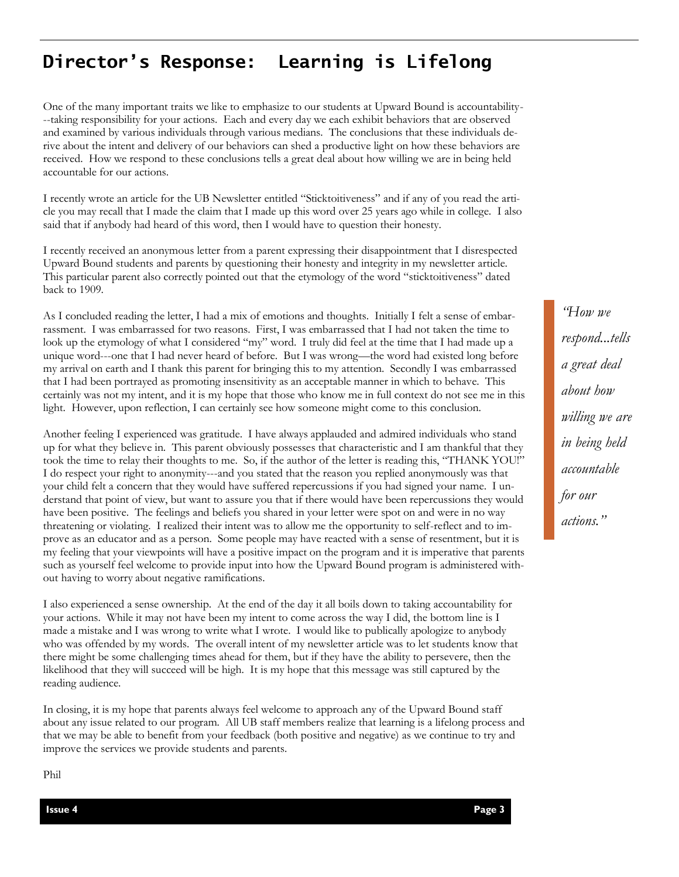# **Director's Response: Learning is Lifelong**

One of the many important traits we like to emphasize to our students at Upward Bound is accountability- --taking responsibility for your actions. Each and every day we each exhibit behaviors that are observed and examined by various individuals through various medians. The conclusions that these individuals derive about the intent and delivery of our behaviors can shed a productive light on how these behaviors are received. How we respond to these conclusions tells a great deal about how willing we are in being held accountable for our actions.

I recently wrote an article for the UB Newsletter entitled "Sticktoitiveness" and if any of you read the article you may recall that I made the claim that I made up this word over 25 years ago while in college. I also said that if anybody had heard of this word, then I would have to question their honesty.

I recently received an anonymous letter from a parent expressing their disappointment that I disrespected Upward Bound students and parents by questioning their honesty and integrity in my newsletter article. This particular parent also correctly pointed out that the etymology of the word "sticktoitiveness" dated back to 1909.

As I concluded reading the letter, I had a mix of emotions and thoughts. Initially I felt a sense of embarrassment. I was embarrassed for two reasons. First, I was embarrassed that I had not taken the time to look up the etymology of what I considered "my" word. I truly did feel at the time that I had made up a unique word---one that I had never heard of before. But I was wrong—the word had existed long before my arrival on earth and I thank this parent for bringing this to my attention. Secondly I was embarrassed that I had been portrayed as promoting insensitivity as an acceptable manner in which to behave. This certainly was not my intent, and it is my hope that those who know me in full context do not see me in this light. However, upon reflection, I can certainly see how someone might come to this conclusion.

Another feeling I experienced was gratitude. I have always applauded and admired individuals who stand up for what they believe in. This parent obviously possesses that characteristic and I am thankful that they took the time to relay their thoughts to me. So, if the author of the letter is reading this, "THANK YOU!" I do respect your right to anonymity---and you stated that the reason you replied anonymously was that your child felt a concern that they would have suffered repercussions if you had signed your name. I understand that point of view, but want to assure you that if there would have been repercussions they would have been positive. The feelings and beliefs you shared in your letter were spot on and were in no way threatening or violating. I realized their intent was to allow me the opportunity to self-reflect and to improve as an educator and as a person. Some people may have reacted with a sense of resentment, but it is my feeling that your viewpoints will have a positive impact on the program and it is imperative that parents such as yourself feel welcome to provide input into how the Upward Bound program is administered without having to worry about negative ramifications.

I also experienced a sense ownership. At the end of the day it all boils down to taking accountability for your actions. While it may not have been my intent to come across the way I did, the bottom line is I made a mistake and I was wrong to write what I wrote. I would like to publically apologize to anybody who was offended by my words. The overall intent of my newsletter article was to let students know that there might be some challenging times ahead for them, but if they have the ability to persevere, then the likelihood that they will succeed will be high. It is my hope that this message was still captured by the reading audience.

In closing, it is my hope that parents always feel welcome to approach any of the Upward Bound staff about any issue related to our program. All UB staff members realize that learning is a lifelong process and that we may be able to benefit from your feedback (both positive and negative) as we continue to try and improve the services we provide students and parents.

*"How we respond...tells a great deal about how willing we are in being held accountable for our actions."*